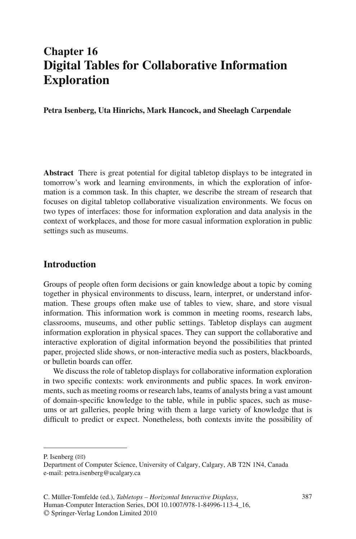# **Chapter 16 Digital Tables for Collaborative Information Exploration**

**Petra Isenberg, Uta Hinrichs, Mark Hancock, and Sheelagh Carpendale**

**Abstract** There is great potential for digital tabletop displays to be integrated in tomorrow's work and learning environments, in which the exploration of information is a common task. In this chapter, we describe the stream of research that focuses on digital tabletop collaborative visualization environments. We focus on two types of interfaces: those for information exploration and data analysis in the context of workplaces, and those for more casual information exploration in public settings such as museums.

# **Introduction**

Groups of people often form decisions or gain knowledge about a topic by coming together in physical environments to discuss, learn, interpret, or understand information. These groups often make use of tables to view, share, and store visual information. This information work is common in meeting rooms, research labs, classrooms, museums, and other public settings. Tabletop displays can augment information exploration in physical spaces. They can support the collaborative and interactive exploration of digital information beyond the possibilities that printed paper, projected slide shows, or non-interactive media such as posters, blackboards, or bulletin boards can offer.

We discuss the role of tabletop displays for collaborative information exploration in two specific contexts: work environments and public spaces. In work environments, such as meeting rooms or research labs, teams of analysts bring a vast amount of domain-specific knowledge to the table, while in public spaces, such as museums or art galleries, people bring with them a large variety of knowledge that is difficult to predict or expect. Nonetheless, both contexts invite the possibility of

P. Isenberg  $(\boxtimes)$ 

Department of Computer Science, University of Calgary, Calgary, AB T2N 1N4, Canada e-mail: petra.isenberg@ucalgary.ca

C. Müller-Tomfelde (ed.), *Tabletops – Horizontal Interactive Displays*, 387 Human-Computer Interaction Series, DOI 10.1007/978-1-84996-113-4\_16, -C Springer-Verlag London Limited 2010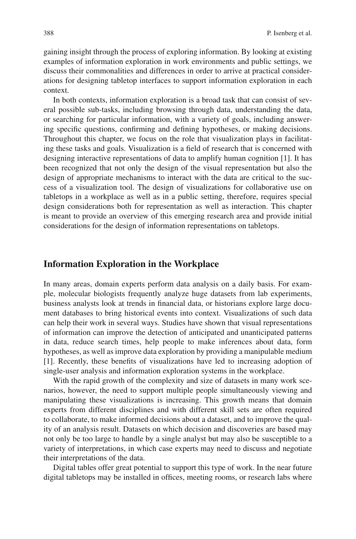gaining insight through the process of exploring information. By looking at existing examples of information exploration in work environments and public settings, we discuss their commonalities and differences in order to arrive at practical considerations for designing tabletop interfaces to support information exploration in each context.

In both contexts, information exploration is a broad task that can consist of several possible sub-tasks, including browsing through data, understanding the data, or searching for particular information, with a variety of goals, including answering specific questions, confirming and defining hypotheses, or making decisions. Throughout this chapter, we focus on the role that visualization plays in facilitating these tasks and goals. Visualization is a field of research that is concerned with designing interactive representations of data to amplify human cognition [\[1\]](#page-17-0). It has been recognized that not only the design of the visual representation but also the design of appropriate mechanisms to interact with the data are critical to the success of a visualization tool. The design of visualizations for collaborative use on tabletops in a workplace as well as in a public setting, therefore, requires special design considerations both for representation as well as interaction. This chapter is meant to provide an overview of this emerging research area and provide initial considerations for the design of information representations on tabletops.

#### **Information Exploration in the Workplace**

In many areas, domain experts perform data analysis on a daily basis. For example, molecular biologists frequently analyze huge datasets from lab experiments, business analysts look at trends in financial data, or historians explore large document databases to bring historical events into context. Visualizations of such data can help their work in several ways. Studies have shown that visual representations of information can improve the detection of anticipated and unanticipated patterns in data, reduce search times, help people to make inferences about data, form hypotheses, as well as improve data exploration by providing a manipulable medium [\[1\]](#page-17-0). Recently, these benefits of visualizations have led to increasing adoption of single-user analysis and information exploration systems in the workplace.

With the rapid growth of the complexity and size of datasets in many work scenarios, however, the need to support multiple people simultaneously viewing and manipulating these visualizations is increasing. This growth means that domain experts from different disciplines and with different skill sets are often required to collaborate, to make informed decisions about a dataset, and to improve the quality of an analysis result. Datasets on which decision and discoveries are based may not only be too large to handle by a single analyst but may also be susceptible to a variety of interpretations, in which case experts may need to discuss and negotiate their interpretations of the data.

Digital tables offer great potential to support this type of work. In the near future digital tabletops may be installed in offices, meeting rooms, or research labs where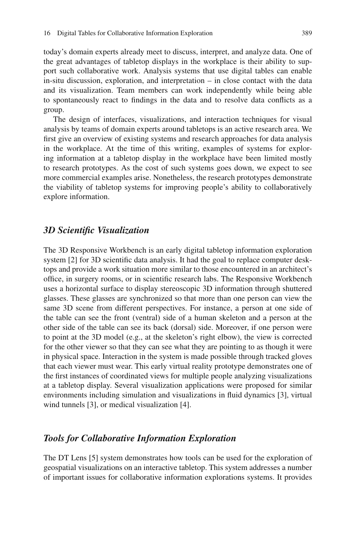today's domain experts already meet to discuss, interpret, and analyze data. One of the great advantages of tabletop displays in the workplace is their ability to support such collaborative work. Analysis systems that use digital tables can enable in-situ discussion, exploration, and interpretation – in close contact with the data and its visualization. Team members can work independently while being able to spontaneously react to findings in the data and to resolve data conflicts as a group.

The design of interfaces, visualizations, and interaction techniques for visual analysis by teams of domain experts around tabletops is an active research area. We first give an overview of existing systems and research approaches for data analysis in the workplace. At the time of this writing, examples of systems for exploring information at a tabletop display in the workplace have been limited mostly to research prototypes. As the cost of such systems goes down, we expect to see more commercial examples arise. Nonetheless, the research prototypes demonstrate the viability of tabletop systems for improving people's ability to collaboratively explore information.

### *3D Scientific Visualization*

The 3D Responsive Workbench is an early digital tabletop information exploration system [\[2\]](#page-17-1) for 3D scientific data analysis. It had the goal to replace computer desktops and provide a work situation more similar to those encountered in an architect's office, in surgery rooms, or in scientific research labs. The Responsive Workbench uses a horizontal surface to display stereoscopic 3D information through shuttered glasses. These glasses are synchronized so that more than one person can view the same 3D scene from different perspectives. For instance, a person at one side of the table can see the front (ventral) side of a human skeleton and a person at the other side of the table can see its back (dorsal) side. Moreover, if one person were to point at the 3D model (e.g., at the skeleton's right elbow), the view is corrected for the other viewer so that they can see what they are pointing to as though it were in physical space. Interaction in the system is made possible through tracked gloves that each viewer must wear. This early virtual reality prototype demonstrates one of the first instances of coordinated views for multiple people analyzing visualizations at a tabletop display. Several visualization applications were proposed for similar environments including simulation and visualizations in fluid dynamics [\[3\]](#page-17-2), virtual wind tunnels [\[3\]](#page-17-2), or medical visualization [\[4\]](#page-17-3).

### *Tools for Collaborative Information Exploration*

The DT Lens [\[5\]](#page-17-4) system demonstrates how tools can be used for the exploration of geospatial visualizations on an interactive tabletop. This system addresses a number of important issues for collaborative information explorations systems. It provides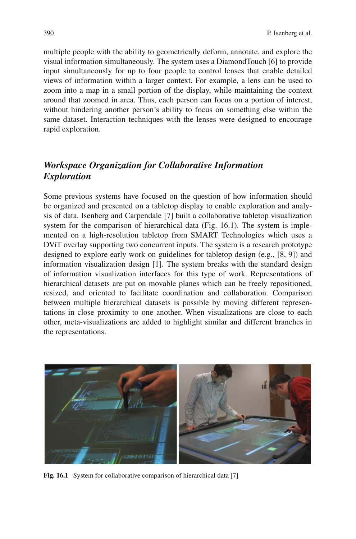multiple people with the ability to geometrically deform, annotate, and explore the visual information simultaneously. The system uses a DiamondTouch [\[6\]](#page-17-5) to provide input simultaneously for up to four people to control lenses that enable detailed views of information within a larger context. For example, a lens can be used to zoom into a map in a small portion of the display, while maintaining the context around that zoomed in area. Thus, each person can focus on a portion of interest, without hindering another person's ability to focus on something else within the same dataset. Interaction techniques with the lenses were designed to encourage rapid exploration.

# *Workspace Organization for Collaborative Information Exploration*

Some previous systems have focused on the question of how information should be organized and presented on a tabletop display to enable exploration and analysis of data. Isenberg and Carpendale [\[7\]](#page-17-6) built a collaborative tabletop visualization system for the comparison of hierarchical data (Fig. [16.1\)](#page-3-0). The system is implemented on a high-resolution tabletop from SMART Technologies which uses a DViT overlay supporting two concurrent inputs. The system is a research prototype designed to explore early work on guidelines for tabletop design (e.g., [\[8,](#page-17-7) [9\]](#page-17-8)) and information visualization design [\[1\]](#page-17-0). The system breaks with the standard design of information visualization interfaces for this type of work. Representations of hierarchical datasets are put on movable planes which can be freely repositioned, resized, and oriented to facilitate coordination and collaboration. Comparison between multiple hierarchical datasets is possible by moving different representations in close proximity to one another. When visualizations are close to each other, meta-visualizations are added to highlight similar and different branches in the representations.

<span id="page-3-0"></span>

**Fig. 16.1** System for collaborative comparison of hierarchical data [\[7\]](#page-17-6)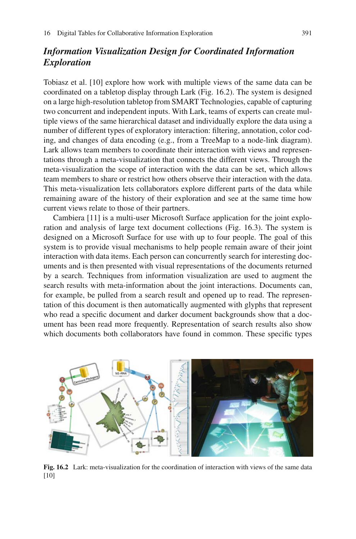# *Information Visualization Design for Coordinated Information Exploration*

Tobiasz et al. [\[10\]](#page-17-9) explore how work with multiple views of the same data can be coordinated on a tabletop display through Lark (Fig. [16.2\)](#page-4-0). The system is designed on a large high-resolution tabletop from SMART Technologies, capable of capturing two concurrent and independent inputs. With Lark, teams of experts can create multiple views of the same hierarchical dataset and individually explore the data using a number of different types of exploratory interaction: filtering, annotation, color coding, and changes of data encoding (e.g., from a TreeMap to a node-link diagram). Lark allows team members to coordinate their interaction with views and representations through a meta-visualization that connects the different views. Through the meta-visualization the scope of interaction with the data can be set, which allows team members to share or restrict how others observe their interaction with the data. This meta-visualization lets collaborators explore different parts of the data while remaining aware of the history of their exploration and see at the same time how current views relate to those of their partners.

Cambiera [\[11\]](#page-17-10) is a multi-user Microsoft Surface application for the joint exploration and analysis of large text document collections (Fig. [16.3\)](#page-5-0). The system is designed on a Microsoft Surface for use with up to four people. The goal of this system is to provide visual mechanisms to help people remain aware of their joint interaction with data items. Each person can concurrently search for interesting documents and is then presented with visual representations of the documents returned by a search. Techniques from information visualization are used to augment the search results with meta-information about the joint interactions. Documents can, for example, be pulled from a search result and opened up to read. The representation of this document is then automatically augmented with glyphs that represent who read a specific document and darker document backgrounds show that a document has been read more frequently. Representation of search results also show which documents both collaborators have found in common. These specific types

<span id="page-4-0"></span>

**Fig. 16.2** Lark: meta-visualization for the coordination of interaction with views of the same data [\[10\]](#page-17-9)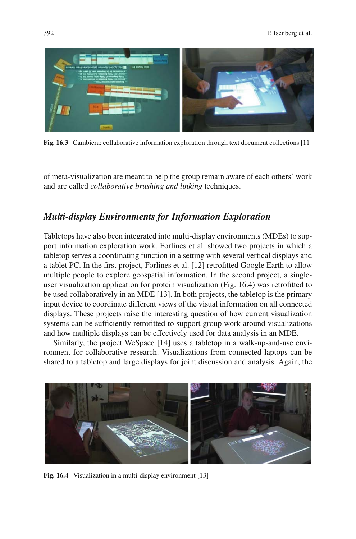<span id="page-5-0"></span>

**Fig. 16.3** Cambiera: collaborative information exploration through text document collections [\[11\]](#page-17-10)

of meta-visualization are meant to help the group remain aware of each others' work and are called *collaborative brushing and linking* techniques.

# *Multi-display Environments for Information Exploration*

Tabletops have also been integrated into multi-display environments (MDEs) to support information exploration work. Forlines et al. showed two projects in which a tabletop serves a coordinating function in a setting with several vertical displays and a tablet PC. In the first project, Forlines et al. [\[12\]](#page-17-11) retrofitted Google Earth to allow multiple people to explore geospatial information. In the second project, a singleuser visualization application for protein visualization (Fig. [16.4\)](#page-5-1) was retrofitted to be used collaboratively in an MDE [\[13\]](#page-17-12). In both projects, the tabletop is the primary input device to coordinate different views of the visual information on all connected displays. These projects raise the interesting question of how current visualization systems can be sufficiently retrofitted to support group work around visualizations and how multiple displays can be effectively used for data analysis in an MDE.

Similarly, the project WeSpace [\[14\]](#page-17-13) uses a tabletop in a walk-up-and-use environment for collaborative research. Visualizations from connected laptops can be shared to a tabletop and large displays for joint discussion and analysis. Again, the

<span id="page-5-1"></span>

**Fig. 16.4** Visualization in a multi-display environment [\[13\]](#page-17-12)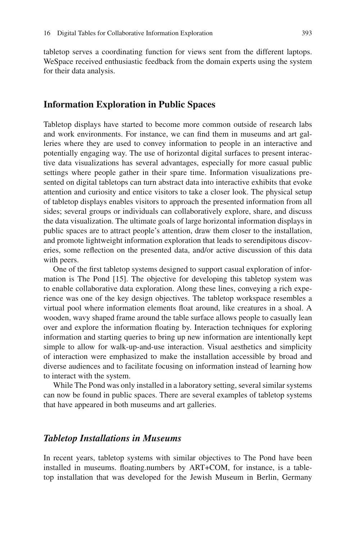tabletop serves a coordinating function for views sent from the different laptops. WeSpace received enthusiastic feedback from the domain experts using the system for their data analysis.

#### **Information Exploration in Public Spaces**

Tabletop displays have started to become more common outside of research labs and work environments. For instance, we can find them in museums and art galleries where they are used to convey information to people in an interactive and potentially engaging way. The use of horizontal digital surfaces to present interactive data visualizations has several advantages, especially for more casual public settings where people gather in their spare time. Information visualizations presented on digital tabletops can turn abstract data into interactive exhibits that evoke attention and curiosity and entice visitors to take a closer look. The physical setup of tabletop displays enables visitors to approach the presented information from all sides; several groups or individuals can collaboratively explore, share, and discuss the data visualization. The ultimate goals of large horizontal information displays in public spaces are to attract people's attention, draw them closer to the installation, and promote lightweight information exploration that leads to serendipitous discoveries, some reflection on the presented data, and/or active discussion of this data with peers.

One of the first tabletop systems designed to support casual exploration of information is The Pond [\[15\]](#page-17-14). The objective for developing this tabletop system was to enable collaborative data exploration. Along these lines, conveying a rich experience was one of the key design objectives. The tabletop workspace resembles a virtual pool where information elements float around, like creatures in a shoal. A wooden, wavy shaped frame around the table surface allows people to casually lean over and explore the information floating by. Interaction techniques for exploring information and starting queries to bring up new information are intentionally kept simple to allow for walk-up-and-use interaction. Visual aesthetics and simplicity of interaction were emphasized to make the installation accessible by broad and diverse audiences and to facilitate focusing on information instead of learning how to interact with the system.

While The Pond was only installed in a laboratory setting, several similar systems can now be found in public spaces. There are several examples of tabletop systems that have appeared in both museums and art galleries.

#### *Tabletop Installations in Museums*

In recent years, tabletop systems with similar objectives to The Pond have been installed in museums. floating.numbers by ART+COM, for instance, is a tabletop installation that was developed for the Jewish Museum in Berlin, Germany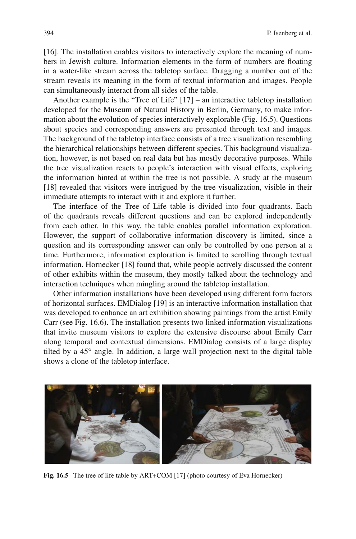[\[16\]](#page-17-15). The installation enables visitors to interactively explore the meaning of numbers in Jewish culture. Information elements in the form of numbers are floating in a water-like stream across the tabletop surface. Dragging a number out of the stream reveals its meaning in the form of textual information and images. People can simultaneously interact from all sides of the table.

Another example is the "Tree of Life" [\[17\]](#page-17-16) – an interactive tabletop installation developed for the Museum of Natural History in Berlin, Germany, to make information about the evolution of species interactively explorable (Fig. [16.5\)](#page-7-0). Questions about species and corresponding answers are presented through text and images. The background of the tabletop interface consists of a tree visualization resembling the hierarchical relationships between different species. This background visualization, however, is not based on real data but has mostly decorative purposes. While the tree visualization reacts to people's interaction with visual effects, exploring the information hinted at within the tree is not possible. A study at the museum [\[18\]](#page-17-17) revealed that visitors were intrigued by the tree visualization, visible in their immediate attempts to interact with it and explore it further.

The interface of the Tree of Life table is divided into four quadrants. Each of the quadrants reveals different questions and can be explored independently from each other. In this way, the table enables parallel information exploration. However, the support of collaborative information discovery is limited, since a question and its corresponding answer can only be controlled by one person at a time. Furthermore, information exploration is limited to scrolling through textual information. Hornecker [\[18\]](#page-17-17) found that, while people actively discussed the content of other exhibits within the museum, they mostly talked about the technology and interaction techniques when mingling around the tabletop installation.

Other information installations have been developed using different form factors of horizontal surfaces. EMDialog [\[19\]](#page-18-0) is an interactive information installation that was developed to enhance an art exhibition showing paintings from the artist Emily Carr (see Fig. [16.6\)](#page-8-0). The installation presents two linked information visualizations that invite museum visitors to explore the extensive discourse about Emily Carr along temporal and contextual dimensions. EMDialog consists of a large display tilted by a 45◦ angle. In addition, a large wall projection next to the digital table shows a clone of the tabletop interface.

<span id="page-7-0"></span>

**Fig. 16.5** The tree of life table by ART+COM [\[17\]](#page-17-16) (photo courtesy of Eva Hornecker)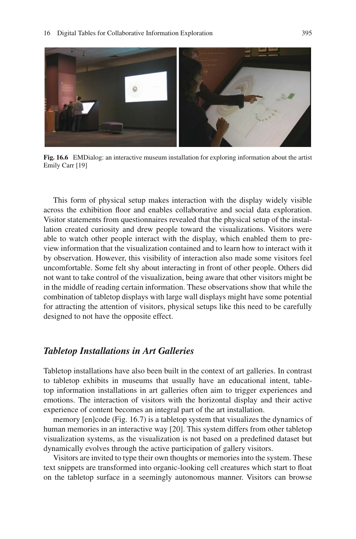<span id="page-8-0"></span>

**Fig. 16.6** EMDialog: an interactive museum installation for exploring information about the artist Emily Carr [\[19\]](#page-18-0)

This form of physical setup makes interaction with the display widely visible across the exhibition floor and enables collaborative and social data exploration. Visitor statements from questionnaires revealed that the physical setup of the installation created curiosity and drew people toward the visualizations. Visitors were able to watch other people interact with the display, which enabled them to preview information that the visualization contained and to learn how to interact with it by observation. However, this visibility of interaction also made some visitors feel uncomfortable. Some felt shy about interacting in front of other people. Others did not want to take control of the visualization, being aware that other visitors might be in the middle of reading certain information. These observations show that while the combination of tabletop displays with large wall displays might have some potential for attracting the attention of visitors, physical setups like this need to be carefully designed to not have the opposite effect.

#### *Tabletop Installations in Art Galleries*

Tabletop installations have also been built in the context of art galleries. In contrast to tabletop exhibits in museums that usually have an educational intent, tabletop information installations in art galleries often aim to trigger experiences and emotions. The interaction of visitors with the horizontal display and their active experience of content becomes an integral part of the art installation.

memory [en]code (Fig. [16.7\)](#page-9-0) is a tabletop system that visualizes the dynamics of human memories in an interactive way [\[20\]](#page-18-1). This system differs from other tabletop visualization systems, as the visualization is not based on a predefined dataset but dynamically evolves through the active participation of gallery visitors.

Visitors are invited to type their own thoughts or memories into the system. These text snippets are transformed into organic-looking cell creatures which start to float on the tabletop surface in a seemingly autonomous manner. Visitors can browse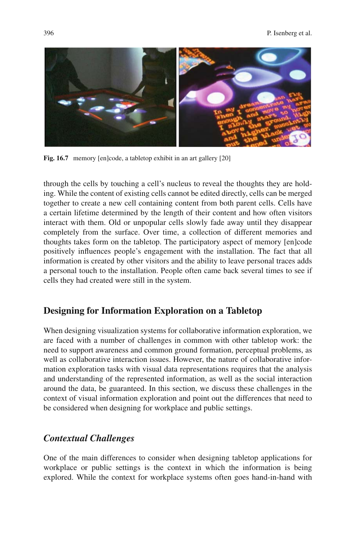<span id="page-9-0"></span>

**Fig. 16.7** memory [en]code, a tabletop exhibit in an art gallery [\[20\]](#page-18-1)

through the cells by touching a cell's nucleus to reveal the thoughts they are holding. While the content of existing cells cannot be edited directly, cells can be merged together to create a new cell containing content from both parent cells. Cells have a certain lifetime determined by the length of their content and how often visitors interact with them. Old or unpopular cells slowly fade away until they disappear completely from the surface. Over time, a collection of different memories and thoughts takes form on the tabletop. The participatory aspect of memory [en]code positively influences people's engagement with the installation. The fact that all information is created by other visitors and the ability to leave personal traces adds a personal touch to the installation. People often came back several times to see if cells they had created were still in the system.

# **Designing for Information Exploration on a Tabletop**

When designing visualization systems for collaborative information exploration, we are faced with a number of challenges in common with other tabletop work: the need to support awareness and common ground formation, perceptual problems, as well as collaborative interaction issues. However, the nature of collaborative information exploration tasks with visual data representations requires that the analysis and understanding of the represented information, as well as the social interaction around the data, be guaranteed. In this section, we discuss these challenges in the context of visual information exploration and point out the differences that need to be considered when designing for workplace and public settings.

# *Contextual Challenges*

One of the main differences to consider when designing tabletop applications for workplace or public settings is the context in which the information is being explored. While the context for workplace systems often goes hand-in-hand with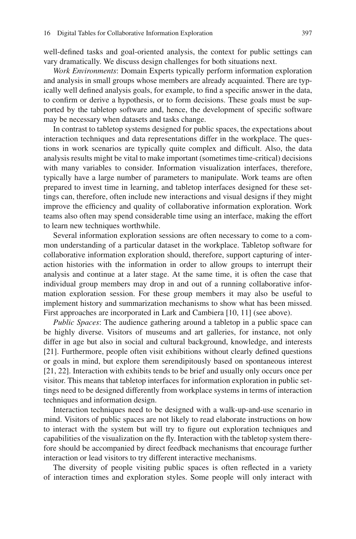well-defined tasks and goal-oriented analysis, the context for public settings can vary dramatically. We discuss design challenges for both situations next.

*Work Environments*: Domain Experts typically perform information exploration and analysis in small groups whose members are already acquainted. There are typically well defined analysis goals, for example, to find a specific answer in the data, to confirm or derive a hypothesis, or to form decisions. These goals must be supported by the tabletop software and, hence, the development of specific software may be necessary when datasets and tasks change.

In contrast to tabletop systems designed for public spaces, the expectations about interaction techniques and data representations differ in the workplace. The questions in work scenarios are typically quite complex and difficult. Also, the data analysis results might be vital to make important (sometimes time-critical) decisions with many variables to consider. Information visualization interfaces, therefore, typically have a large number of parameters to manipulate. Work teams are often prepared to invest time in learning, and tabletop interfaces designed for these settings can, therefore, often include new interactions and visual designs if they might improve the efficiency and quality of collaborative information exploration. Work teams also often may spend considerable time using an interface, making the effort to learn new techniques worthwhile.

Several information exploration sessions are often necessary to come to a common understanding of a particular dataset in the workplace. Tabletop software for collaborative information exploration should, therefore, support capturing of interaction histories with the information in order to allow groups to interrupt their analysis and continue at a later stage. At the same time, it is often the case that individual group members may drop in and out of a running collaborative information exploration session. For these group members it may also be useful to implement history and summarization mechanisms to show what has been missed. First approaches are incorporated in Lark and Cambiera [\[10,](#page-17-9) [11\]](#page-17-10) (see above).

*Public Spaces*: The audience gathering around a tabletop in a public space can be highly diverse. Visitors of museums and art galleries, for instance, not only differ in age but also in social and cultural background, knowledge, and interests [\[21\]](#page-18-2). Furthermore, people often visit exhibitions without clearly defined questions or goals in mind, but explore them serendipitously based on spontaneous interest [\[21,](#page-18-2) [22\]](#page-18-3). Interaction with exhibits tends to be brief and usually only occurs once per visitor. This means that tabletop interfaces for information exploration in public settings need to be designed differently from workplace systems in terms of interaction techniques and information design.

Interaction techniques need to be designed with a walk-up-and-use scenario in mind. Visitors of public spaces are not likely to read elaborate instructions on how to interact with the system but will try to figure out exploration techniques and capabilities of the visualization on the fly. Interaction with the tabletop system therefore should be accompanied by direct feedback mechanisms that encourage further interaction or lead visitors to try different interactive mechanisms.

The diversity of people visiting public spaces is often reflected in a variety of interaction times and exploration styles. Some people will only interact with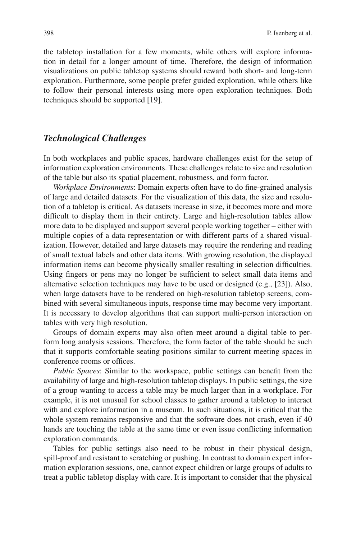the tabletop installation for a few moments, while others will explore information in detail for a longer amount of time. Therefore, the design of information visualizations on public tabletop systems should reward both short- and long-term exploration. Furthermore, some people prefer guided exploration, while others like to follow their personal interests using more open exploration techniques. Both techniques should be supported [\[19\]](#page-18-0).

### *Technological Challenges*

In both workplaces and public spaces, hardware challenges exist for the setup of information exploration environments. These challenges relate to size and resolution of the table but also its spatial placement, robustness, and form factor.

*Workplace Environments*: Domain experts often have to do fine-grained analysis of large and detailed datasets. For the visualization of this data, the size and resolution of a tabletop is critical. As datasets increase in size, it becomes more and more difficult to display them in their entirety. Large and high-resolution tables allow more data to be displayed and support several people working together – either with multiple copies of a data representation or with different parts of a shared visualization. However, detailed and large datasets may require the rendering and reading of small textual labels and other data items. With growing resolution, the displayed information items can become physically smaller resulting in selection difficulties. Using fingers or pens may no longer be sufficient to select small data items and alternative selection techniques may have to be used or designed (e.g., [\[23\]](#page-18-4)). Also, when large datasets have to be rendered on high-resolution tabletop screens, combined with several simultaneous inputs, response time may become very important. It is necessary to develop algorithms that can support multi-person interaction on tables with very high resolution.

Groups of domain experts may also often meet around a digital table to perform long analysis sessions. Therefore, the form factor of the table should be such that it supports comfortable seating positions similar to current meeting spaces in conference rooms or offices.

*Public Spaces*: Similar to the workspace, public settings can benefit from the availability of large and high-resolution tabletop displays. In public settings, the size of a group wanting to access a table may be much larger than in a workplace. For example, it is not unusual for school classes to gather around a tabletop to interact with and explore information in a museum. In such situations, it is critical that the whole system remains responsive and that the software does not crash, even if 40 hands are touching the table at the same time or even issue conflicting information exploration commands.

Tables for public settings also need to be robust in their physical design, spill-proof and resistant to scratching or pushing. In contrast to domain expert information exploration sessions, one, cannot expect children or large groups of adults to treat a public tabletop display with care. It is important to consider that the physical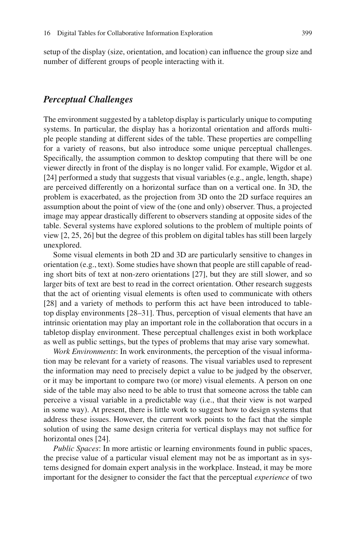setup of the display (size, orientation, and location) can influence the group size and number of different groups of people interacting with it.

#### *Perceptual Challenges*

The environment suggested by a tabletop display is particularly unique to computing systems. In particular, the display has a horizontal orientation and affords multiple people standing at different sides of the table. These properties are compelling for a variety of reasons, but also introduce some unique perceptual challenges. Specifically, the assumption common to desktop computing that there will be one viewer directly in front of the display is no longer valid. For example, Wigdor et al. [\[24\]](#page-18-5) performed a study that suggests that visual variables (e.g., angle, length, shape) are perceived differently on a horizontal surface than on a vertical one. In 3D, the problem is exacerbated, as the projection from 3D onto the 2D surface requires an assumption about the point of view of the (one and only) observer. Thus, a projected image may appear drastically different to observers standing at opposite sides of the table. Several systems have explored solutions to the problem of multiple points of view [\[2,](#page-17-1) [25,](#page-18-6) [26\]](#page-18-7) but the degree of this problem on digital tables has still been largely unexplored.

Some visual elements in both 2D and 3D are particularly sensitive to changes in orientation (e.g., text). Some studies have shown that people are still capable of reading short bits of text at non-zero orientations [\[27\]](#page-18-8), but they are still slower, and so larger bits of text are best to read in the correct orientation. Other research suggests that the act of orienting visual elements is often used to communicate with others [\[28\]](#page-18-9) and a variety of methods to perform this act have been introduced to tabletop display environments [\[28–](#page-18-9)[31\]](#page-18-10). Thus, perception of visual elements that have an intrinsic orientation may play an important role in the collaboration that occurs in a tabletop display environment. These perceptual challenges exist in both workplace as well as public settings, but the types of problems that may arise vary somewhat.

*Work Environments*: In work environments, the perception of the visual information may be relevant for a variety of reasons. The visual variables used to represent the information may need to precisely depict a value to be judged by the observer, or it may be important to compare two (or more) visual elements. A person on one side of the table may also need to be able to trust that someone across the table can perceive a visual variable in a predictable way (i.e., that their view is not warped in some way). At present, there is little work to suggest how to design systems that address these issues. However, the current work points to the fact that the simple solution of using the same design criteria for vertical displays may not suffice for horizontal ones [\[24\]](#page-18-5).

*Public Spaces*: In more artistic or learning environments found in public spaces, the precise value of a particular visual element may not be as important as in systems designed for domain expert analysis in the workplace. Instead, it may be more important for the designer to consider the fact that the perceptual *experience* of two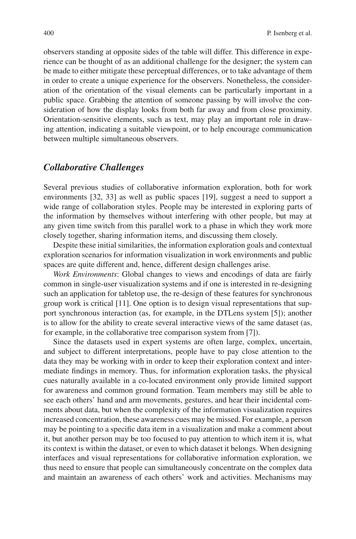observers standing at opposite sides of the table will differ. This difference in experience can be thought of as an additional challenge for the designer; the system can be made to either mitigate these perceptual differences, or to take advantage of them in order to create a unique experience for the observers. Nonetheless, the consideration of the orientation of the visual elements can be particularly important in a public space. Grabbing the attention of someone passing by will involve the consideration of how the display looks from both far away and from close proximity. Orientation-sensitive elements, such as text, may play an important role in drawing attention, indicating a suitable viewpoint, or to help encourage communication between multiple simultaneous observers.

#### *Collaborative Challenges*

Several previous studies of collaborative information exploration, both for work environments [\[32,](#page-18-11) [33\]](#page-18-12) as well as public spaces [\[19\]](#page-18-0), suggest a need to support a wide range of collaboration styles. People may be interested in exploring parts of the information by themselves without interfering with other people, but may at any given time switch from this parallel work to a phase in which they work more closely together, sharing information items, and discussing them closely.

Despite these initial similarities, the information exploration goals and contextual exploration scenarios for information visualization in work environments and public spaces are quite different and, hence, different design challenges arise.

*Work Environments*: Global changes to views and encodings of data are fairly common in single-user visualization systems and if one is interested in re-designing such an application for tabletop use, the re-design of these features for synchronous group work is critical [\[11\]](#page-17-10). One option is to design visual representations that support synchronous interaction (as, for example, in the DTLens system [\[5\]](#page-17-4)); another is to allow for the ability to create several interactive views of the same dataset (as, for example, in the collaborative tree comparison system from [\[7\]](#page-17-6)).

Since the datasets used in expert systems are often large, complex, uncertain, and subject to different interpretations, people have to pay close attention to the data they may be working with in order to keep their exploration context and intermediate findings in memory. Thus, for information exploration tasks, the physical cues naturally available in a co-located environment only provide limited support for awareness and common ground formation. Team members may still be able to see each others' hand and arm movements, gestures, and hear their incidental comments about data, but when the complexity of the information visualization requires increased concentration, these awareness cues may be missed. For example, a person may be pointing to a specific data item in a visualization and make a comment about it, but another person may be too focused to pay attention to which item it is, what its context is within the dataset, or even to which dataset it belongs. When designing interfaces and visual representations for collaborative information exploration, we thus need to ensure that people can simultaneously concentrate on the complex data and maintain an awareness of each others' work and activities. Mechanisms may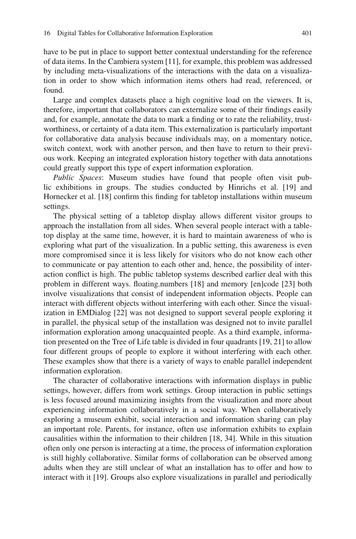have to be put in place to support better contextual understanding for the reference of data items. In the Cambiera system [\[11\]](#page-17-10), for example, this problem was addressed by including meta-visualizations of the interactions with the data on a visualization in order to show which information items others had read, referenced, or found.

Large and complex datasets place a high cognitive load on the viewers. It is, therefore, important that collaborators can externalize some of their findings easily and, for example, annotate the data to mark a finding or to rate the reliability, trustworthiness, or certainty of a data item. This externalization is particularly important for collaborative data analysis because individuals may, on a momentary notice, switch context, work with another person, and then have to return to their previous work. Keeping an integrated exploration history together with data annotations could greatly support this type of expert information exploration.

*Public Spaces*: Museum studies have found that people often visit public exhibitions in groups. The studies conducted by Hinrichs et al. [\[19\]](#page-18-0) and Hornecker et al. [\[18\]](#page-17-17) confirm this finding for tabletop installations within museum settings.

The physical setting of a tabletop display allows different visitor groups to approach the installation from all sides. When several people interact with a tabletop display at the same time, however, it is hard to maintain awareness of who is exploring what part of the visualization. In a public setting, this awareness is even more compromised since it is less likely for visitors who do not know each other to communicate or pay attention to each other and, hence, the possibility of interaction conflict is high. The public tabletop systems described earlier deal with this problem in different ways. floating.numbers [\[18\]](#page-17-17) and memory [en]code [\[23\]](#page-18-4) both involve visualizations that consist of independent information objects. People can interact with different objects without interfering with each other. Since the visualization in EMDialog [\[22\]](#page-18-3) was not designed to support several people exploring it in parallel, the physical setup of the installation was designed not to invite parallel information exploration among unacquainted people. As a third example, information presented on the Tree of Life table is divided in four quadrants [\[19,](#page-18-0) [21\]](#page-18-2) to allow four different groups of people to explore it without interfering with each other. These examples show that there is a variety of ways to enable parallel independent information exploration.

The character of collaborative interactions with information displays in public settings, however, differs from work settings. Group interaction in public settings is less focused around maximizing insights from the visualization and more about experiencing information collaboratively in a social way. When collaboratively exploring a museum exhibit, social interaction and information sharing can play an important role. Parents, for instance, often use information exhibits to explain causalities within the information to their children [\[18,](#page-17-17) [34\]](#page-18-13). While in this situation often only one person is interacting at a time, the process of information exploration is still highly collaborative. Similar forms of collaboration can be observed among adults when they are still unclear of what an installation has to offer and how to interact with it [\[19\]](#page-18-0). Groups also explore visualizations in parallel and periodically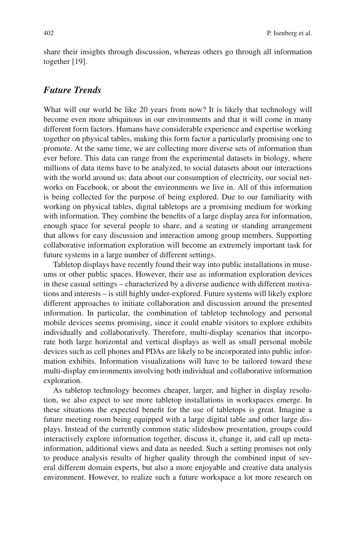share their insights through discussion, whereas others go through all information together [\[19\]](#page-18-0).

#### *Future Trends*

What will our world be like 20 years from now? It is likely that technology will become even more ubiquitous in our environments and that it will come in many different form factors. Humans have considerable experience and expertise working together on physical tables, making this form factor a particularly promising one to promote. At the same time, we are collecting more diverse sets of information than ever before. This data can range from the experimental datasets in biology, where millions of data items have to be analyzed, to social datasets about our interactions with the world around us: data about our consumption of electricity, our social networks on Facebook, or about the environments we live in. All of this information is being collected for the purpose of being explored. Due to our familiarity with working on physical tables, digital tabletops are a promising medium for working with information. They combine the benefits of a large display area for information, enough space for several people to share, and a seating or standing arrangement that allows for easy discussion and interaction among group members. Supporting collaborative information exploration will become an extremely important task for future systems in a large number of different settings.

Tabletop displays have recently found their way into public installations in museums or other public spaces. However, their use as information exploration devices in these casual settings – characterized by a diverse audience with different motivations and interests – is still highly under-explored. Future systems will likely explore different approaches to initiate collaboration and discussion around the presented information. In particular, the combination of tabletop technology and personal mobile devices seems promising, since it could enable visitors to explore exhibits individually and collaboratively. Therefore, multi-display scenarios that incorporate both large horizontal and vertical displays as well as small personal mobile devices such as cell phones and PDAs are likely to be incorporated into public information exhibits. Information visualizations will have to be tailored toward these multi-display environments involving both individual and collaborative information exploration.

As tabletop technology becomes cheaper, larger, and higher in display resolution, we also expect to see more tabletop installations in workspaces emerge. In these situations the expected benefit for the use of tabletops is great. Imagine a future meeting room being equipped with a large digital table and other large displays. Instead of the currently common static slideshow presentation, groups could interactively explore information together, discuss it, change it, and call up metainformation, additional views and data as needed. Such a setting promises not only to produce analysis results of higher quality through the combined input of several different domain experts, but also a more enjoyable and creative data analysis environment. However, to realize such a future workspace a lot more research on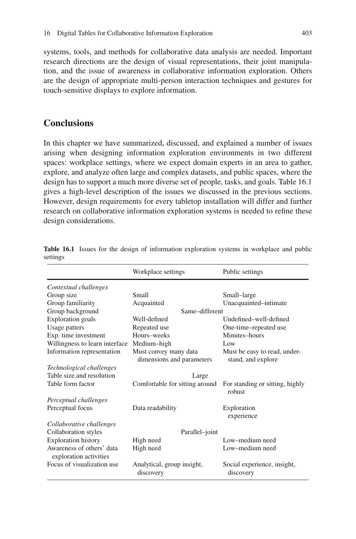systems, tools, and methods for collaborative data analysis are needed. Important research directions are the design of visual representations, their joint manipulation, and the issue of awareness in collaborative information exploration. Others are the design of appropriate multi-person interaction techniques and gestures for touch-sensitive displays to explore information.

### **Conclusions**

In this chapter we have summarized, discussed, and explained a number of issues arising when designing information exploration environments in two different spaces: workplace settings, where we expect domain experts in an area to gather, explore, and analyze often large and complex datasets, and public spaces, where the design has to support a much more diverse set of people, tasks, and goals. Table [16.1](#page-16-0) gives a high-level description of the issues we discussed in the previous sections. However, design requirements for every tabletop installation will differ and further research on collaborative information exploration systems is needed to refine these design considerations.

<span id="page-16-0"></span>

|                                                     | Workplace settings                                 | Public settings                                    |
|-----------------------------------------------------|----------------------------------------------------|----------------------------------------------------|
| Contextual challenges                               |                                                    |                                                    |
| Group size                                          | Small                                              | Small-large                                        |
| Group familiarity                                   | Acquainted                                         | Unacquainted-intimate                              |
| Group background                                    | Same-different                                     |                                                    |
| <b>Exploration</b> goals                            | Well-defined                                       | Undefined-well-defined                             |
| Usage patters                                       | Repeated use                                       | One-time-repeated use                              |
| Exp. time investment                                | Hours-weeks                                        | Minutes-hours                                      |
| Willingness to learn interface                      | Medium-high                                        | Low                                                |
| Information representation                          | Must convey many data<br>dimensions and parameters | Must be easy to read, under-<br>stand, and explore |
| Technological challenges                            |                                                    |                                                    |
| Table size and resolution                           | Large                                              |                                                    |
| Table form factor                                   | Comfortable for sitting around                     | For standing or sitting, highly<br>robust          |
| Perceptual challenges                               |                                                    |                                                    |
| Perceptual focus                                    | Data readability                                   | Exploration<br>experience                          |
| Collaborative challenges                            |                                                    |                                                    |
| Collaboration styles                                | Parallel-joint                                     |                                                    |
| <b>Exploration history</b>                          | High need                                          | Low-medium need                                    |
| Awareness of others' data<br>exploration activities | High need                                          | Low-medium need                                    |
| Focus of visualization use                          | Analytical, group insight,<br>discovery            | Social experience, insight,<br>discovery           |

**Table 16.1** Issues for the design of information exploration systems in workplace and public settings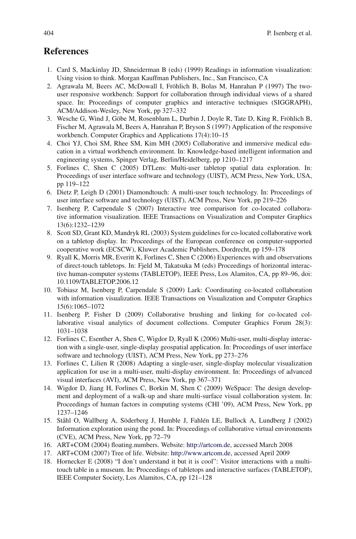# **References**

- 1. Card S, Mackinlay JD, Shneiderman B (eds) (1999) Readings in information visualization: Using vision to think. Morgan Kauffman Publishers, Inc., San Francisco, CA
- <span id="page-17-0"></span>2. Agrawala M, Beers AC, McDowall I, Fröhlich B, Bolas M, Hanrahan P (1997) The twouser responsive workbench: Support for collaboration through individual views of a shared space. In: Proceedings of computer graphics and interactive techniques (SIGGRAPH), ACM/Addison-Wesley, New York, pp 327–332
- <span id="page-17-1"></span>3. Wesche G, Wind J, Göbe M, Rosenblum L, Durbin J, Doyle R, Tate D, King R, Fröhlich B, Fischer M, Agrawala M, Beers A, Hanrahan P, Bryson S (1997) Application of the responsive workbench. Computer Graphics and Applications 17(4):10–15
- <span id="page-17-2"></span>4. Choi YJ, Choi SM, Rhee SM, Kim MH (2005) Collaborative and immersive medical education in a virtual workbench environment. In: Knowledge-based intelligent information and engineering systems, Spinger Verlag, Berlin/Heidelberg, pp 1210–1217
- <span id="page-17-3"></span>5. Forlines C, Shen C (2005) DTLens: Multi-user tabletop spatial data exploration. In: Proceedings of user interface software and technology (UIST), ACM Press, New York, USA, pp 119–122
- <span id="page-17-4"></span>6. Dietz P, Leigh D (2001) Diamondtouch: A multi-user touch technology. In: Proceedings of user interface software and technology (UIST), ACM Press, New York, pp 219–226
- <span id="page-17-5"></span>7. Isenberg P, Carpendale S (2007) Interactive tree comparison for co-located collaborative information visualization. IEEE Transactions on Visualization and Computer Graphics 13(6):1232–1239
- <span id="page-17-6"></span>8. Scott SD, Grant KD, Mandryk RL (2003) System guidelines for co-located collaborative work on a tabletop display. In: Proceedings of the European conference on computer-supported cooperative work (ECSCW), Kluwer Academic Publishers, Dordrecht, pp 159–178
- <span id="page-17-7"></span>9. Ryall K, Morris MR, Everitt K, Forlines C, Shen C (2006) Experiences with and observations of direct-touch tabletops. In: Fjeld M, Takatsuka M (eds) Proceedings of horizontal interactive human-computer systems (TABLETOP), IEEE Press, Los Alamitos, CA, pp 89–96, doi: 10.1109/TABLETOP.2006.12
- <span id="page-17-8"></span>10. Tobiasz M, Isenberg P, Carpendale S (2009) Lark: Coordinating co-located collaboration with information visualization. IEEE Transactions on Visualization and Computer Graphics 15(6):1065–1072
- <span id="page-17-9"></span>11. Isenberg P, Fisher D (2009) Collaborative brushing and linking for co-located collaborative visual analytics of document collections. Computer Graphics Forum 28(3): 1031–1038
- <span id="page-17-10"></span>12. Forlines C, Esenther A, Shen C, Wigdor D, Ryall K (2006) Multi-user, multi-display interaction with a single-user, single-display geospatial application. In: Proceedings of user interface software and technology (UIST), ACM Press, New York, pp 273–276
- <span id="page-17-11"></span>13. Forlines C, Lilien R (2008) Adapting a single-user, single-display molecular visualization application for use in a multi-user, multi-display environment. In: Proceedings of advanced visual interfaces (AVI), ACM Press, New York, pp 367–371
- <span id="page-17-12"></span>14. Wigdor D, Jiang H, Forlines C, Borkin M, Shen C (2009) WeSpace: The design development and deployment of a walk-up and share multi-surface visual collaboration system. In: Proceedings of human factors in computing systems (CHI '09), ACM Press, New York, pp 1237–1246
- <span id="page-17-13"></span>15. Ståhl O, Wallberg A, Söderberg J, Humble J, Fahlén LE, Bullock A, Lundberg J (2002) Information exploration using the pond. In: Proceedings of collaborative virtual environments (CVE), ACM Press, New York, pp 72–79
- <span id="page-17-14"></span>16. ART+COM (2004) floating.numbers. Website: http://artcom.de, accessed March 2008
- <span id="page-17-15"></span>17. ART+COM (2007) Tree of life. Website: http://www.artcom.de, accessed April 2009
- <span id="page-17-17"></span><span id="page-17-16"></span>18. Hornecker E (2008) "I don't understand it but it is cool": Visitor interactions with a multitouch table in a museum. In: Proceedings of tabletops and interactive surfaces (TABLETOP), IEEE Computer Society, Los Alamitos, CA, pp 121–128